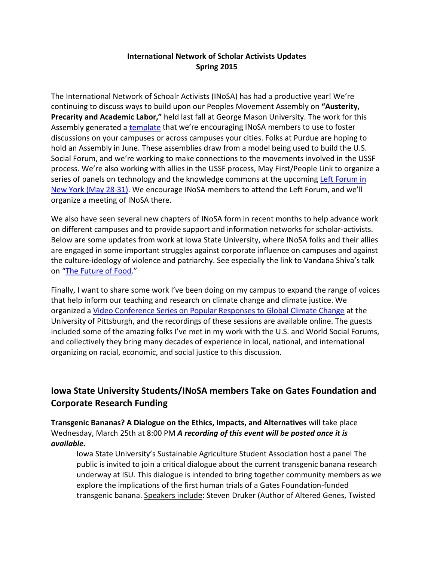#### **International Network of Scholar Activists Updates Spring 2015**

The International Network of Schoalr Activists (INoSA) has had a productive year! We're continuing to discuss ways to build upon our Peoples Movement Assembly on **"Austerity, Precarity and Academic Labor,"** held last fall at George Mason University. The work for this Assembly generated a [template](http://inosa.wikispaces.com/file/view/PMA%20Program%20October%202014.pdf/529301724/PMA%20Program%20October%202014.pdf) that we're encouraging INoSA members to use to foster discussions on your campuses or across campuses your cities. Folks at Purdue are hoping to hold an Assembly in June. These assemblies draw from a model being used to build the U.S. Social Forum, and we're working to make connections to the movements involved in the USSF process. We're also working with allies in the USSF process, May First/People Link to organize a series of panels on technology and the knowledge commons at the upcoming Left Forum in [New York \(May 28-31\).](http://www.leftforum.org/) We encourage INoSA members to attend the Left Forum, and we'll organize a meeting of INoSA there.

We also have seen several new chapters of INoSA form in recent months to help advance work on different campuses and to provide support and information networks for scholar-activists. Below are some updates from work at Iowa State University, where INoSA folks and their allies are engaged in some important struggles against corporate influence on campuses and against the culture-ideology of violence and patriarchy. See especially the link to Vandana Shiva's talk on ["The Future of Food.](http://www.lectures.iastate.edu/lecture/32739)"

Finally, I want to share some work I've been doing on my campus to expand the range of voices that help inform our teaching and research on climate change and climate justice. We organized a [Video Conference Series on Popular Responses to Global Climate Change](http://www.ucis.pitt.edu/global/node/484) at the University of Pittsburgh, and the recordings of these sessions are available online. The guests included some of the amazing folks I've met in my work with the U.S. and World Social Forums, and collectively they bring many decades of experience in local, national, and international organizing on racial, economic, and social justice to this discussion.

# **Iowa State University Students/INoSA members Take on Gates Foundation and Corporate Research Funding**

**Transgenic Bananas? A Dialogue on the Ethics, Impacts, and Alternatives** will take place Wednesday, March 25th at 8:00 PM *A recording of this event will be posted once it is available.*

Iowa State University's Sustainable Agriculture Student Association host a panel The public is invited to join a critical dialogue about the current transgenic banana research underway at ISU. This dialogue is intended to bring together community members as we explore the implications of the first human trials of a Gates Foundation-funded transgenic banana. Speakers include: Steven Druker (Author of Altered Genes, Twisted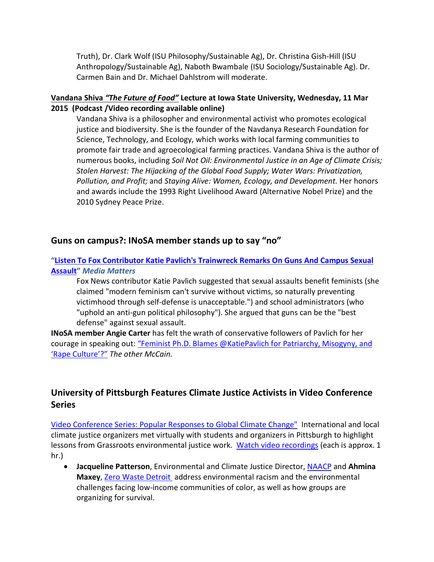Truth), Dr. Clark Wolf (ISU Philosophy/Sustainable Ag), Dr. Christina Gish-Hill (ISU Anthropology/Sustainable Ag), Naboth Bwambale (ISU Sociology/Sustainable Ag). Dr. Carmen Bain and Dr. Michael Dahlstrom will moderate.

#### **Vandana Shiva** *["The Future of Food"](http://www.lectures.iastate.edu/lecture/32739)* **Lecture at Iowa State University, Wednesday, 11 Mar 2015 (Podcast /Video recording available online)**

Vandana Shiva is a philosopher and environmental activist who promotes ecological justice and biodiversity. She is the founder of the Navdanya Research Foundation for Science, Technology, and Ecology, which works with local farming communities to promote fair trade and agroecological farming practices. Vandana Shiva is the author of numerous books, including *Soil Not Oil: Environmental Justice in an Age of Climate Crisis; Stolen Harvest: The Hijacking of the Global Food Supply; Water Wars: Privatization, Pollution, and Profit;* and *Staying Alive: Women, Ecology, and Development.* Her honors and awards include the 1993 Right Livelihood Award (Alternative Nobel Prize) and the 2010 Sydney Peace Prize.

### **Guns on campus?: INoSA member stands up to say "no"**

### **["Listen To Fox Contributor Katie Pavlich's Trainwreck Remarks On Guns And Campus Sexual](http://mediamatters.org/blog/2015/03/12/listen-to-fox-contributor-katie-pavlichs-trainw/202875)  [Assault"](http://mediamatters.org/blog/2015/03/12/listen-to-fox-contributor-katie-pavlichs-trainw/202875)** *Media Matters*

Fox News contributor Katie Pavlich suggested that sexual assaults benefit feminists (she claimed "modern feminism can't survive without victims, so naturally preventing victimhood through self-defense is unacceptable.") and school administrators (who "uphold an anti-gun political philosophy"). She argued that guns can be the "best defense" against sexual assault.

**INoSA member Angie Carter** has felt the wrath of conservative followers of Pavlich for her courage in speaking out: ["Feminist Ph.D. Blames @KatiePavlich for Patriarchy, Misogyny, and](http://theothermccain.com/2015/03/11/feminist-ph-d-blames-katiepavlich-for-patriarchy-misogyny-rape-culture/)  ['Rape Culture'?"](http://theothermccain.com/2015/03/11/feminist-ph-d-blames-katiepavlich-for-patriarchy-misogyny-rape-culture/) *The other McCain.*

## **University of Pittsburgh Features Climate Justice Activists in Video Conference Series**

[Video Conference Series: Popular Responses to Global Climate Change"](http://www.ucis.pitt.edu/global/node/484) International and local climate justice organizers met virtually with students and organizers in Pittsburgh to highlight lessons from Grassroots environmental justice work. [Watch video recordings](http://www.ucis.pitt.edu/global/node/484) (each is approx. 1 hr.)

• **Jacqueline Patterson**, Environmental and Climate Justice Director, [NAACP](http://www.naacp.org/) and **Ahmina Maxey**, [Zero Waste Detroit](http://www.zerowastedetroit.org/) address environmental racism and the environmental challenges facing low-income communities of color, as well as how groups are organizing for survival.